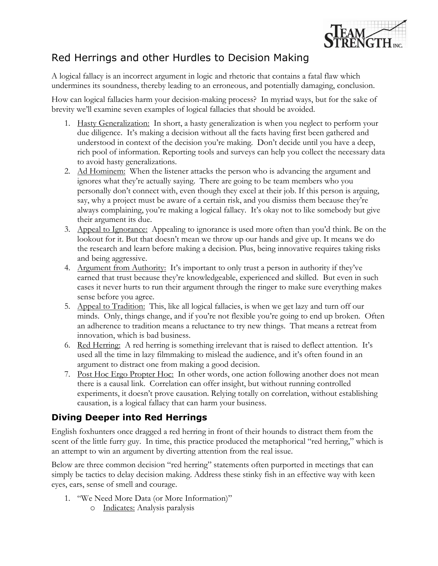

## Red Herrings and other Hurdles to Decision Making

A logical fallacy is an incorrect argument in logic and rhetoric that contains a fatal flaw which undermines its soundness, thereby leading to an erroneous, and potentially damaging, conclusion.

How can logical fallacies harm your decision-making process? In myriad ways, but for the sake of brevity we'll examine seven examples of logical fallacies that should be avoided.

- 1. Hasty Generalization: In short, a hasty generalization is when you neglect to perform your due diligence. It's making a decision without all the facts having first been gathered and understood in context of the decision you're making. Don't decide until you have a deep, rich pool of information. Reporting tools and surveys can help you collect the necessary data to avoid hasty generalizations.
- 2. Ad Hominem: When the listener attacks the person who is advancing the argument and ignores what they're actually saying. There are going to be team members who you personally don't connect with, even though they excel at their job. If this person is arguing, say, why a project must be aware of a certain risk, and you dismiss them because they're always complaining, you're making a logical fallacy. It's okay not to like somebody but give their argument its due.
- 3. Appeal to Ignorance: Appealing to ignorance is used more often than you'd think. Be on the lookout for it. But that doesn't mean we throw up our hands and give up. It means we do the research and learn before making a decision. Plus, being innovative requires taking risks and being aggressive.
- 4. Argument from Authority: It's important to only trust a person in authority if they've earned that trust because they're knowledgeable, experienced and skilled. But even in such cases it never hurts to run their argument through the ringer to make sure everything makes sense before you agree.
- 5. Appeal to Tradition: This, like all logical fallacies, is when we get lazy and turn off our minds. Only, things change, and if you're not flexible you're going to end up broken. Often an adherence to tradition means a reluctance to try new things. That means a retreat from innovation, which is bad business.
- 6. Red Herring: A red herring is something irrelevant that is raised to deflect attention. It's used all the time in lazy filmmaking to mislead the audience, and it's often found in an argument to distract one from making a good decision.
- 7. Post Hoc Ergo Propter Hoc: In other words, one action following another does not mean there is a causal link. Correlation can offer insight, but without running controlled experiments, it doesn't prove causation. Relying totally on correlation, without establishing causation, is a logical fallacy that can harm your business.

## **Diving Deeper into Red Herrings**

English foxhunters once dragged a red herring in front of their hounds to distract them from the scent of the little furry guy. In time, this practice produced the metaphorical "red herring," which is an attempt to win an argument by diverting attention from the real issue.

Below are three common decision "red herring" statements often purported in meetings that can simply be tactics to delay decision making. Address these stinky fish in an effective way with keen eyes, ears, sense of smell and courage.

- 1. "We Need More Data (or More Information)"
	- o Indicates: Analysis paralysis